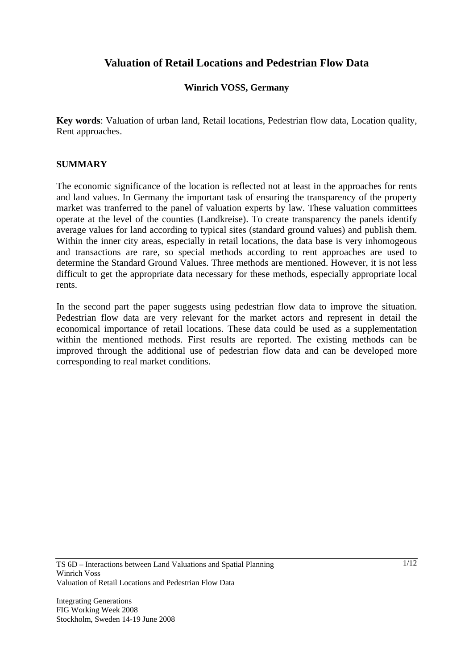# **Valuation of Retail Locations and Pedestrian Flow Data**

### **Winrich VOSS, Germany**

**Key words**: Valuation of urban land, Retail locations, Pedestrian flow data, Location quality, Rent approaches.

#### **SUMMARY**

The economic significance of the location is reflected not at least in the approaches for rents and land values. In Germany the important task of ensuring the transparency of the property market was tranferred to the panel of valuation experts by law. These valuation committees operate at the level of the counties (Landkreise). To create transparency the panels identify average values for land according to typical sites (standard ground values) and publish them. Within the inner city areas, especially in retail locations, the data base is very inhomogeous and transactions are rare, so special methods according to rent approaches are used to determine the Standard Ground Values. Three methods are mentioned. However, it is not less difficult to get the appropriate data necessary for these methods, especially appropriate local rents.

In the second part the paper suggests using pedestrian flow data to improve the situation. Pedestrian flow data are very relevant for the market actors and represent in detail the economical importance of retail locations. These data could be used as a supplementation within the mentioned methods. First results are reported. The existing methods can be improved through the additional use of pedestrian flow data and can be developed more corresponding to real market conditions.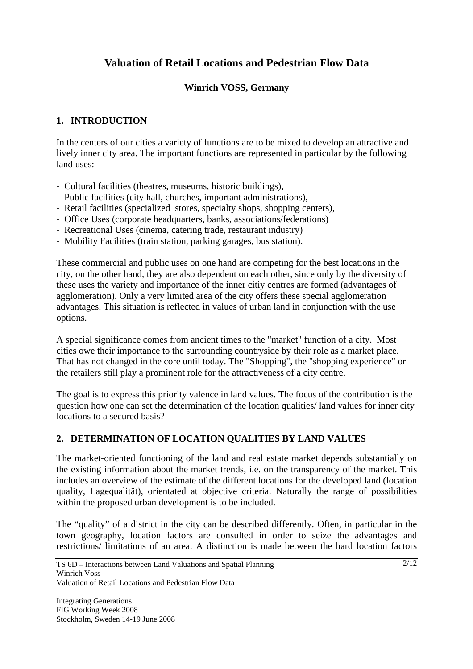# **Valuation of Retail Locations and Pedestrian Flow Data**

## **Winrich VOSS, Germany**

### **1. INTRODUCTION**

In the centers of our cities a variety of functions are to be mixed to develop an attractive and lively inner city area. The important functions are represented in particular by the following land uses:

- Cultural facilities (theatres, museums, historic buildings),
- Public facilities (city hall, churches, important administrations),
- Retail facilities (specialized stores, specialty shops, shopping centers),
- Office Uses (corporate headquarters, banks, associations/federations)
- Recreational Uses (cinema, catering trade, restaurant industry)
- Mobility Facilities (train station, parking garages, bus station).

These commercial and public uses on one hand are competing for the best locations in the city, on the other hand, they are also dependent on each other, since only by the diversity of these uses the variety and importance of the inner citiy centres are formed (advantages of agglomeration). Only a very limited area of the city offers these special agglomeration advantages. This situation is reflected in values of urban land in conjunction with the use options.

A special significance comes from ancient times to the "market" function of a city. Most cities owe their importance to the surrounding countryside by their role as a market place. That has not changed in the core until today. The "Shopping", the "shopping experience" or the retailers still play a prominent role for the attractiveness of a city centre.

The goal is to express this priority valence in land values. The focus of the contribution is the question how one can set the determination of the location qualities/ land values for inner city locations to a secured basis?

## **2. DETERMINATION OF LOCATION QUALITIES BY LAND VALUES**

The market-oriented functioning of the land and real estate market depends substantially on the existing information about the market trends, i.e. on the transparency of the market. This includes an overview of the estimate of the different locations for the developed land (location quality, Lagequalität), orientated at objective criteria. Naturally the range of possibilities within the proposed urban development is to be included.

The "quality" of a district in the city can be described differently. Often, in particular in the town geography, location factors are consulted in order to seize the advantages and restrictions/ limitations of an area. A distinction is made between the hard location factors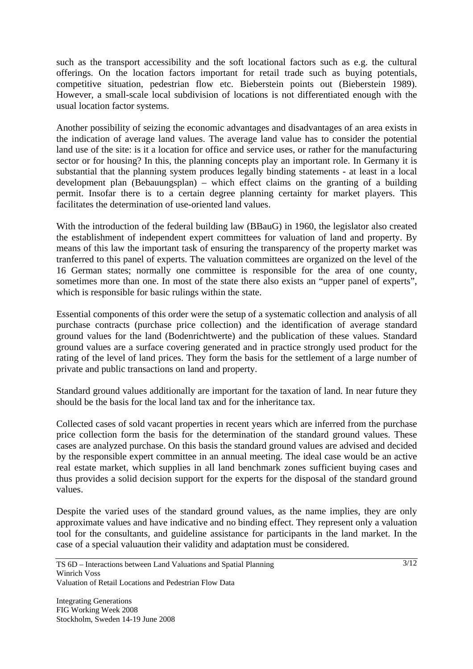such as the transport accessibility and the soft locational factors such as e.g. the cultural offerings. On the location factors important for retail trade such as buying potentials, competitive situation, pedestrian flow etc. Bieberstein points out (Bieberstein 1989). However, a small-scale local subdivision of locations is not differentiated enough with the usual location factor systems.

Another possibility of seizing the economic advantages and disadvantages of an area exists in the indication of average land values. The average land value has to consider the potential land use of the site: is it a location for office and service uses, or rather for the manufacturing sector or for housing? In this, the planning concepts play an important role. In Germany it is substantial that the planning system produces legally binding statements - at least in a local development plan (Bebauungsplan) – which effect claims on the granting of a building permit. Insofar there is to a certain degree planning certainty for market players. This facilitates the determination of use-oriented land values.

With the introduction of the federal building law (BBauG) in 1960, the legislator also created the establishment of independent expert committees for valuation of land and property. By means of this law the important task of ensuring the transparency of the property market was tranferred to this panel of experts. The valuation committees are organized on the level of the 16 German states; normally one committee is responsible for the area of one county, sometimes more than one. In most of the state there also exists an "upper panel of experts", which is responsible for basic rulings within the state.

Essential components of this order were the setup of a systematic collection and analysis of all purchase contracts (purchase price collection) and the identification of average standard ground values for the land (Bodenrichtwerte) and the publication of these values. Standard ground values are a surface covering generated and in practice strongly used product for the rating of the level of land prices. They form the basis for the settlement of a large number of private and public transactions on land and property.

Standard ground values additionally are important for the taxation of land. In near future they should be the basis for the local land tax and for the inheritance tax.

Collected cases of sold vacant properties in recent years which are inferred from the purchase price collection form the basis for the determination of the standard ground values. These cases are analyzed purchase. On this basis the standard ground values are advised and decided by the responsible expert committee in an annual meeting. The ideal case would be an active real estate market, which supplies in all land benchmark zones sufficient buying cases and thus provides a solid decision support for the experts for the disposal of the standard ground values.

Despite the varied uses of the standard ground values, as the name implies, they are only approximate values and have indicative and no binding effect. They represent only a valuation tool for the consultants, and guideline assistance for participants in the land market. In the case of a special valuaution their validity and adaptation must be considered.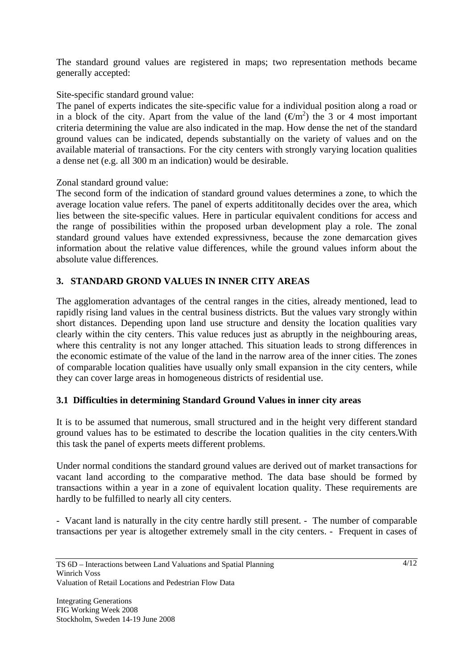The standard ground values are registered in maps; two representation methods became generally accepted:

#### Site-specific standard ground value:

The panel of experts indicates the site-specific value for a individual position along a road or in a block of the city. Apart from the value of the land  $(\text{Em}^2)$  the 3 or 4 most important criteria determining the value are also indicated in the map. How dense the net of the standard ground values can be indicated, depends substantially on the variety of values and on the available material of transactions. For the city centers with strongly varying location qualities a dense net (e.g. all 300 m an indication) would be desirable.

#### Zonal standard ground value:

The second form of the indication of standard ground values determines a zone, to which the average location value refers. The panel of experts addititonally decides over the area, which lies between the site-specific values. Here in particular equivalent conditions for access and the range of possibilities within the proposed urban development play a role. The zonal standard ground values have extended expressivness, because the zone demarcation gives information about the relative value differences, while the ground values inform about the absolute value differences.

## **3. STANDARD GROND VALUES IN INNER CITY AREAS**

The agglomeration advantages of the central ranges in the cities, already mentioned, lead to rapidly rising land values in the central business districts. But the values vary strongly within short distances. Depending upon land use structure and density the location qualities vary clearly within the city centers. This value reduces just as abruptly in the neighbouring areas, where this centrality is not any longer attached. This situation leads to strong differences in the economic estimate of the value of the land in the narrow area of the inner cities. The zones of comparable location qualities have usually only small expansion in the city centers, while they can cover large areas in homogeneous districts of residential use.

## **3.1 Difficulties in determining Standard Ground Values in inner city areas**

It is to be assumed that numerous, small structured and in the height very different standard ground values has to be estimated to describe the location qualities in the city centers.With this task the panel of experts meets different problems.

Under normal conditions the standard ground values are derived out of market transactions for vacant land according to the comparative method. The data base should be formed by transactions within a year in a zone of equivalent location quality. These requirements are hardly to be fulfilled to nearly all city centers.

- Vacant land is naturally in the city centre hardly still present. - The number of comparable transactions per year is altogether extremely small in the city centers. - Frequent in cases of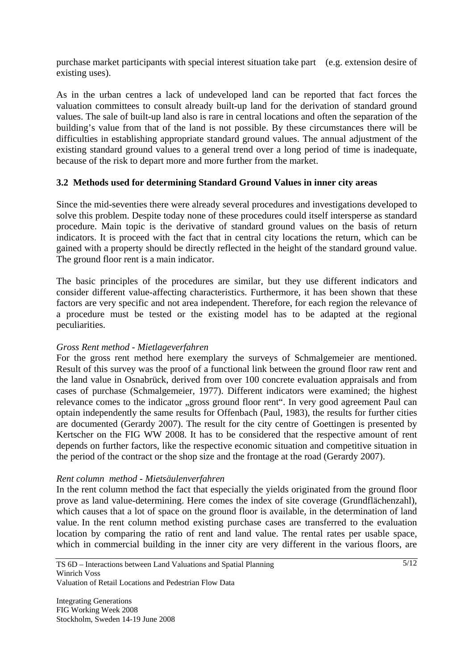purchase market participants with special interest situation take part (e.g. extension desire of existing uses).

As in the urban centres a lack of undeveloped land can be reported that fact forces the valuation committees to consult already built-up land for the derivation of standard ground values. The sale of built-up land also is rare in central locations and often the separation of the building's value from that of the land is not possible. By these circumstances there will be difficulties in establishing appropriate standard ground values. The annual adjustment of the existing standard ground values to a general trend over a long period of time is inadequate, because of the risk to depart more and more further from the market.

#### **3.2 Methods used for determining Standard Ground Values in inner city areas**

Since the mid-seventies there were already several procedures and investigations developed to solve this problem. Despite today none of these procedures could itself intersperse as standard procedure. Main topic is the derivative of standard ground values on the basis of return indicators. It is proceed with the fact that in central city locations the return, which can be gained with a property should be directly reflected in the height of the standard ground value. The ground floor rent is a main indicator.

The basic principles of the procedures are similar, but they use different indicators and consider different value-affecting characteristics. Furthermore, it has been shown that these factors are very specific and not area independent. Therefore, for each region the relevance of a procedure must be tested or the existing model has to be adapted at the regional peculiarities.

#### *Gross Rent method - Mietlageverfahren*

For the gross rent method here exemplary the surveys of Schmalgemeier are mentioned. Result of this survey was the proof of a functional link between the ground floor raw rent and the land value in Osnabrück, derived from over 100 concrete evaluation appraisals and from cases of purchase (Schmalgemeier, 1977). Different indicators were examined; the highest relevance comes to the indicator "gross ground floor rent". In very good agreement Paul can optain independently the same results for Offenbach (Paul, 1983), the results for further cities are documented (Gerardy 2007). The result for the city centre of Goettingen is presented by Kertscher on the FIG WW 2008. It has to be considered that the respective amount of rent depends on further factors, like the respective economic situation and competitive situation in the period of the contract or the shop size and the frontage at the road (Gerardy 2007).

#### *Rent column method - Mietsäulenverfahren*

In the rent column method the fact that especially the yields originated from the ground floor prove as land value-determining. Here comes the index of site coverage (Grundflächenzahl), which causes that a lot of space on the ground floor is available, in the determination of land value. In the rent column method existing purchase cases are transferred to the evaluation location by comparing the ratio of rent and land value. The rental rates per usable space, which in commercial building in the inner city are very different in the various floors, are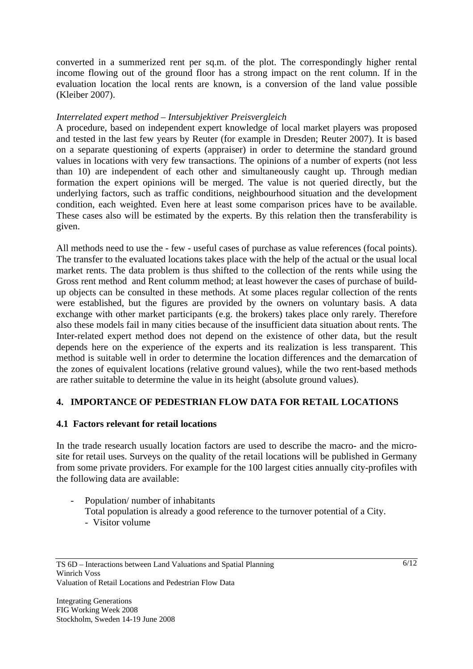converted in a summerized rent per sq.m. of the plot. The correspondingly higher rental income flowing out of the ground floor has a strong impact on the rent column. If in the evaluation location the local rents are known, is a conversion of the land value possible (Kleiber 2007).

#### *Interrelated expert method – Intersubjektiver Preisvergleich*

A procedure, based on independent expert knowledge of local market players was proposed and tested in the last few years by Reuter (for example in Dresden; Reuter 2007). It is based on a separate questioning of experts (appraiser) in order to determine the standard ground values in locations with very few transactions. The opinions of a number of experts (not less than 10) are independent of each other and simultaneously caught up. Through median formation the expert opinions will be merged. The value is not queried directly, but the underlying factors, such as traffic conditions, neighbourhood situation and the development condition, each weighted. Even here at least some comparison prices have to be available. These cases also will be estimated by the experts. By this relation then the transferability is given.

All methods need to use the - few - useful cases of purchase as value references (focal points). The transfer to the evaluated locations takes place with the help of the actual or the usual local market rents. The data problem is thus shifted to the collection of the rents while using the Gross rent method and Rent columm method; at least however the cases of purchase of buildup objects can be consulted in these methods. At some places regular collection of the rents were established, but the figures are provided by the owners on voluntary basis. A data exchange with other market participants (e.g. the brokers) takes place only rarely. Therefore also these models fail in many cities because of the insufficient data situation about rents. The Inter-related expert method does not depend on the existence of other data, but the result depends here on the experience of the experts and its realization is less transparent. This method is suitable well in order to determine the location differences and the demarcation of the zones of equivalent locations (relative ground values), while the two rent-based methods are rather suitable to determine the value in its height (absolute ground values).

#### **4. IMPORTANCE OF PEDESTRIAN FLOW DATA FOR RETAIL LOCATIONS**

#### **4.1 Factors relevant for retail locations**

In the trade research usually location factors are used to describe the macro- and the microsite for retail uses. Surveys on the quality of the retail locations will be published in Germany from some private providers. For example for the 100 largest cities annually city-profiles with the following data are available:

- Population/ number of inhabitants Total population is already a good reference to the turnover potential of a City.
	- Visitor volume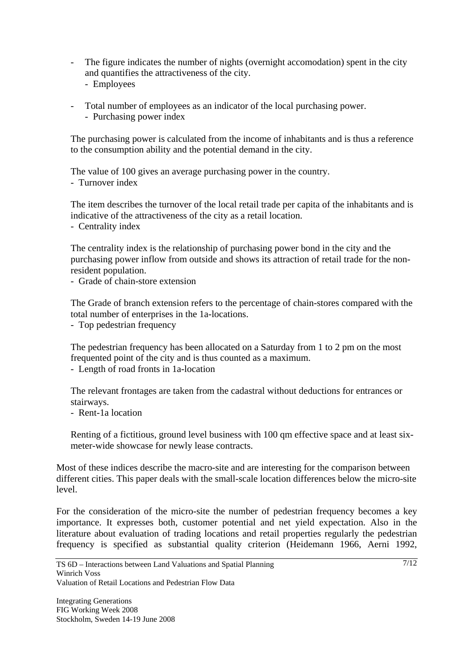- The figure indicates the number of nights (overnight accomodation) spent in the city and quantifies the attractiveness of the city.
	- Employees
- Total number of employees as an indicator of the local purchasing power.
	- Purchasing power index

The purchasing power is calculated from the income of inhabitants and is thus a reference to the consumption ability and the potential demand in the city.

The value of 100 gives an average purchasing power in the country. - Turnover index

The item describes the turnover of the local retail trade per capita of the inhabitants and is indicative of the attractiveness of the city as a retail location.

- Centrality index

The centrality index is the relationship of purchasing power bond in the city and the purchasing power inflow from outside and shows its attraction of retail trade for the nonresident population.

- Grade of chain-store extension

The Grade of branch extension refers to the percentage of chain-stores compared with the total number of enterprises in the 1a-locations.

- Top pedestrian frequency

The pedestrian frequency has been allocated on a Saturday from 1 to 2 pm on the most frequented point of the city and is thus counted as a maximum.

- Length of road fronts in 1a-location

The relevant frontages are taken from the cadastral without deductions for entrances or stairways.

- Rent-1a location

Renting of a fictitious, ground level business with 100 qm effective space and at least sixmeter-wide showcase for newly lease contracts.

Most of these indices describe the macro-site and are interesting for the comparison between different cities. This paper deals with the small-scale location differences below the micro-site level.

For the consideration of the micro-site the number of pedestrian frequency becomes a key importance. It expresses both, customer potential and net yield expectation. Also in the literature about evaluation of trading locations and retail properties regularly the pedestrian frequency is specified as substantial quality criterion (Heidemann 1966, Aerni 1992,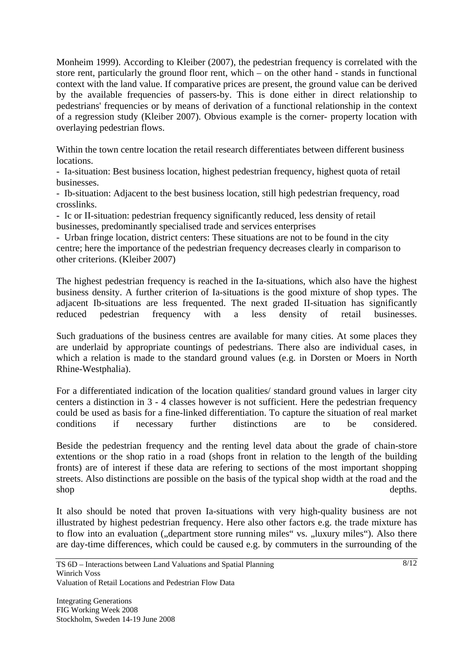Monheim 1999). According to Kleiber (2007), the pedestrian frequency is correlated with the store rent, particularly the ground floor rent, which – on the other hand - stands in functional context with the land value. If comparative prices are present, the ground value can be derived by the available frequencies of passers-by. This is done either in direct relationship to pedestrians' frequencies or by means of derivation of a functional relationship in the context of a regression study (Kleiber 2007). Obvious example is the corner- property location with overlaying pedestrian flows.

Within the town centre location the retail research differentiates between different business locations.

- Ia-situation: Best business location, highest pedestrian frequency, highest quota of retail businesses.

- Ib-situation: Adjacent to the best business location, still high pedestrian frequency, road crosslinks.

- Ic or II-situation: pedestrian frequency significantly reduced, less density of retail businesses, predominantly specialised trade and services enterprises

- Urban fringe location, district centers: These situations are not to be found in the city centre; here the importance of the pedestrian frequency decreases clearly in comparison to other criterions. (Kleiber 2007)

The highest pedestrian frequency is reached in the Ia-situations, which also have the highest business density. A further criterion of Ia-situations is the good mixture of shop types. The adjacent Ib-situations are less frequented. The next graded II-situation has significantly reduced pedestrian frequency with a less density of retail businesses.

Such graduations of the business centres are available for many cities. At some places they are underlaid by appropriate countings of pedestrians. There also are individual cases, in which a relation is made to the standard ground values (e.g. in Dorsten or Moers in North Rhine-Westphalia).

For a differentiated indication of the location qualities/ standard ground values in larger city centers a distinction in 3 - 4 classes however is not sufficient. Here the pedestrian frequency could be used as basis for a fine-linked differentiation. To capture the situation of real market conditions if necessary further distinctions are to be considered.

Beside the pedestrian frequency and the renting level data about the grade of chain-store extentions or the shop ratio in a road (shops front in relation to the length of the building fronts) are of interest if these data are refering to sections of the most important shopping streets. Also distinctions are possible on the basis of the typical shop width at the road and the shop depths.

It also should be noted that proven Ia-situations with very high-quality business are not illustrated by highest pedestrian frequency. Here also other factors e.g. the trade mixture has to flow into an evaluation ("department store running miles" vs. "luxury miles"). Also there are day-time differences, which could be caused e.g. by commuters in the surrounding of the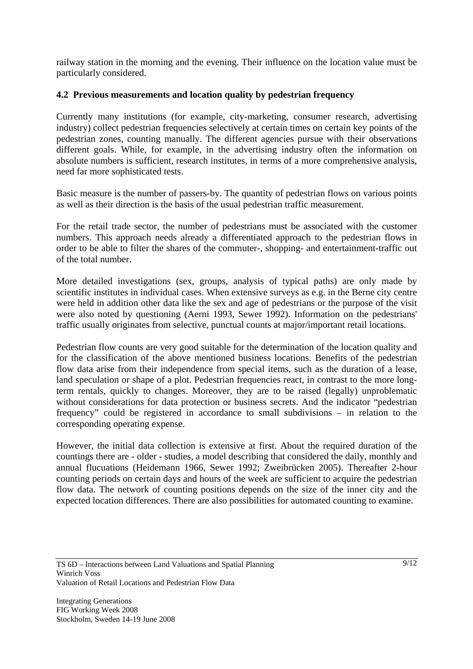railway station in the morning and the evening. Their influence on the location value must be particularly considered.

### **4.2 Previous measurements and location quality by pedestrian frequency**

Currently many institutions (for example, city-marketing, consumer research, advertising industry) collect pedestrian frequencies selectively at certain times on certain key points of the pedestrian zones, counting manually. The different agencies pursue with their observations different goals. While, for example, in the advertising industry often the information on absolute numbers is sufficient, research institutes, in terms of a more comprehensive analysis, need far more sophisticated tests.

Basic measure is the number of passers-by. The quantity of pedestrian flows on various points as well as their direction is the basis of the usual pedestrian traffic measurement.

For the retail trade sector, the number of pedestrians must be associated with the customer numbers. This approach needs already a differentiated approach to the pedestrian flows in order to be able to filter the shares of the commuter-, shopping- and entertainment-traffic out of the total number.

More detailed investigations (sex, groups, analysis of typical paths) are only made by scientific institutes in individual cases. When extensive surveys as e.g. in the Berne city centre were held in addition other data like the sex and age of pedestrians or the purpose of the visit were also noted by questioning (Aerni 1993, Sewer 1992). Information on the pedestrians' traffic usually originates from selective, punctual counts at major/important retail locations.

Pedestrian flow counts are very good suitable for the determination of the location quality and for the classification of the above mentioned business locations. Benefits of the pedestrian flow data arise from their independence from special items, such as the duration of a lease, land speculation or shape of a plot. Pedestrian frequencies react, in contrast to the more longterm rentals, quickly to changes. Moreover, they are to be raised (legally) unproblematic without considerations for data protection or business secrets. And the indicator "pedestrian frequency" could be registered in accordance to small subdivisions – in relation to the corresponding operating expense.

However, the initial data collection is extensive at first. About the required duration of the countings there are - older - studies, a model describing that considered the daily, monthly and annual flucuations (Heidemann 1966, Sewer 1992; Zweibrücken 2005). Thereafter 2-hour counting periods on certain days and hours of the week are sufficient to acquire the pedestrian flow data. The network of counting positions depends on the size of the inner city and the expected location differences. There are also possibilities for automated counting to examine.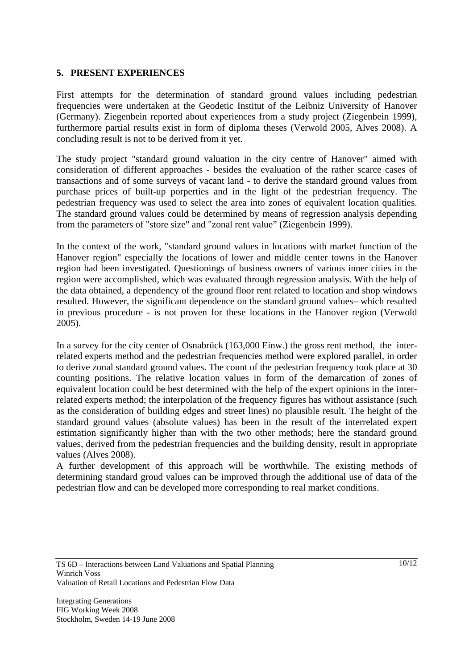#### **5. PRESENT EXPERIENCES**

First attempts for the determination of standard ground values including pedestrian frequencies were undertaken at the Geodetic Institut of the Leibniz University of Hanover (Germany). Ziegenbein reported about experiences from a study project (Ziegenbein 1999), furthermore partial results exist in form of diploma theses (Verwold 2005, Alves 2008). A concluding result is not to be derived from it yet.

The study project "standard ground valuation in the city centre of Hanover" aimed with consideration of different approaches - besides the evaluation of the rather scarce cases of transactions and of some surveys of vacant land - to derive the standard ground values from purchase prices of built-up porperties and in the light of the pedestrian frequency. The pedestrian frequency was used to select the area into zones of equivalent location qualities. The standard ground values could be determined by means of regression analysis depending from the parameters of "store size" and "zonal rent value" (Ziegenbein 1999).

In the context of the work, "standard ground values in locations with market function of the Hanover region" especially the locations of lower and middle center towns in the Hanover region had been investigated. Questionings of business owners of various inner cities in the region were accomplished, which was evaluated through regression analysis. With the help of the data obtained, a dependency of the ground floor rent related to location and shop windows resulted. However, the significant dependence on the standard ground values– which resulted in previous procedure - is not proven for these locations in the Hanover region (Verwold 2005).

In a survey for the city center of Osnabrück (163,000 Einw.) the gross rent method, the interrelated experts method and the pedestrian frequencies method were explored parallel, in order to derive zonal standard ground values. The count of the pedestrian frequency took place at 30 counting positions. The relative location values in form of the demarcation of zones of equivalent location could be best determined with the help of the expert opinions in the interrelated experts method; the interpolation of the frequency figures has without assistance (such as the consideration of building edges and street lines) no plausible result. The height of the standard ground values (absolute values) has been in the result of the interrelated expert estimation significantly higher than with the two other methods; here the standard ground values, derived from the pedestrian frequencies and the building density, result in appropriate values (Alves 2008).

A further development of this approach will be worthwhile. The existing methods of determining standard groud values can be improved through the additional use of data of the pedestrian flow and can be developed more corresponding to real market conditions.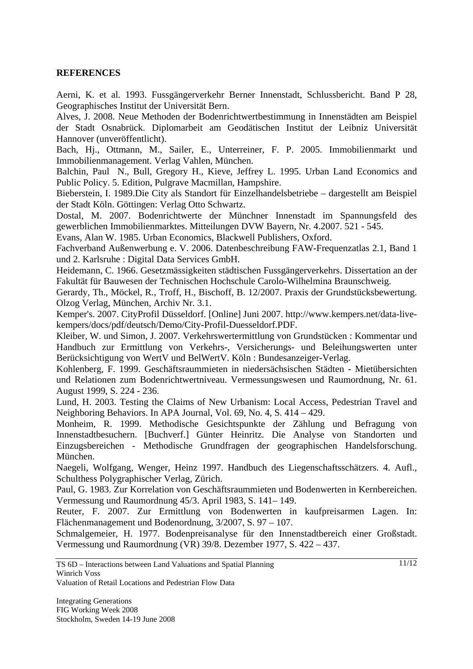#### **REFERENCES**

Aerni, K. et al. 1993. Fussgängerverkehr Berner Innenstadt, Schlussbericht. Band P 28, Geographisches Institut der Universität Bern.

Alves, J. 2008. Neue Methoden der Bodenrichtwertbestimmung in Innenstädten am Beispiel der Stadt Osnabrück. Diplomarbeit am Geodätischen Institut der Leibniz Universität Hannover (unveröffentlicht).

Bach, Hj., Ottmann, M., Sailer, E., Unterreiner, F. P. 2005. Immobilienmarkt und Immobilienmanagement. Verlag Vahlen, München.

Balchin, Paul N., Bull, Gregory H., Kieve, Jeffrey L. 1995. Urban Land Economics and Public Policy. 5. Edition, Pulgrave Macmillan, Hampshire.

Bieberstein, I. 1989.Die City als Standort für Einzelhandelsbetriebe – dargestellt am Beispiel der Stadt Köln. Göttingen: Verlag Otto Schwartz.

Dostal, M. 2007. Bodenrichtwerte der Münchner Innenstadt im Spannungsfeld des gewerblichen Immobilienmarktes. Mitteilungen DVW Bayern, Nr. 4.2007. 521 - 545.

Evans, Alan W. 1985. Urban Economics, Blackwell Publishers, Oxford.

Fachverband Außenwerbung e. V. 2006. Datenbeschreibung FAW-Frequenzatlas 2.1, Band 1 und 2. Karlsruhe : Digital Data Services GmbH.

Heidemann, C. 1966. Gesetzmässigkeiten städtischen Fussgängerverkehrs. Dissertation an der Fakultät für Bauwesen der Technischen Hochschule Carolo-Wilhelmina Braunschweig.

Gerardy, Th., Möckel, R., Troff, H., Bischoff, B. 12/2007. Praxis der Grundstücksbewertung. Olzog Verlag, München, Archiv Nr. 3.1.

Kemper's. 2007. CityProfil Düsseldorf. [Online] Juni 2007. http://www.kempers.net/data-livekempers/docs/pdf/deutsch/Demo/City-Profil-Duesseldorf.PDF.

Kleiber, W. und Simon, J. 2007. Verkehrswertermittlung von Grundstücken : Kommentar und Handbuch zur Ermittlung von Verkehrs-, Versicherungs- und Beleihungswerten unter Berücksichtigung von WertV und BelWertV. Köln : Bundesanzeiger-Verlag.

Kohlenberg, F. 1999. Geschäftsraummieten in niedersächsischen Städten - Mietübersichten und Relationen zum Bodenrichtwertniveau. Vermessungswesen und Raumordnung, Nr. 61. August 1999, S. 224 - 236.

Lund, H. 2003. Testing the Claims of New Urbanism: Local Access, Pedestrian Travel and Neighboring Behaviors. In APA Journal, Vol. 69, No. 4, S. 414 – 429.

Monheim, R. 1999. Methodische Gesichtspunkte der Zählung und Befragung von Innenstadtbesuchern. [Buchverf.] Günter Heinritz. Die Analyse von Standorten und Einzugsbereichen - Methodische Grundfragen der geographischen Handelsforschung. München.

Naegeli, Wolfgang, Wenger, Heinz 1997. Handbuch des Liegenschaftsschätzers. 4. Aufl., Schulthess Polygraphischer Verlag, Zürich.

Paul, G. 1983. Zur Korrelation von Geschäftsraummieten und Bodenwerten in Kernbereichen. Vermessung und Raumordnung 45/3. April 1983, S. 141– 149.

Reuter, F. 2007. Zur Ermittlung von Bodenwerten in kaufpreisarmen Lagen. In: Flächenmanagement und Bodenordnung, 3/2007, S. 97 – 107.

Schmalgemeier, H. 1977. Bodenpreisanalyse für den Innenstadtbereich einer Großstadt. Vermessung und Raumordnung (VR) 39/8. Dezember 1977, S. 422 – 437.

Valuation of Retail Locations and Pedestrian Flow Data